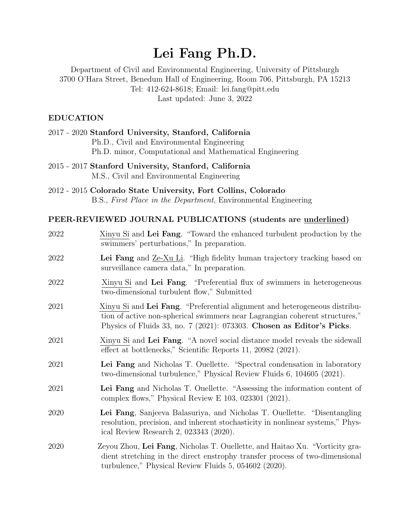# Lei Fang Ph.D.

Department of Civil and Environmental Engineering, University of Pittsburgh 3700 O'Hara Street, Benedum Hall of Engineering, Room 706, Pittsburgh, PA 15213 Tel: 412-624-8618; Email: lei.fang@pitt.edu Last updated: June 3, 2022

#### EDUCATION

| 2017 - 2020 Stanford University, Stanford, California               |
|---------------------------------------------------------------------|
| Ph.D., Civil and Environmental Engineering                          |
| Ph.D. minor, Computational and Mathematical Engineering             |
| $0.015$ $0.015$ $0.1$ $0.1$ $1.17$ $1.01$ $0.1$ $0.10$ $0.10$ $1.0$ |

- 2015 2017 Stanford University, Stanford, California M.S., Civil and Environmental Engineering
- 2012 2015 Colorado State University, Fort Collins, Colorado B.S., First Place in the Department, Environmental Engineering

#### PEER-REVIEWED JOURNAL PUBLICATIONS (students are underlined)

| 2022 | Xinyu Si and Lei Fang. "Toward the enhanced turbulent production by the<br>swimmers' perturbations," In preparation.                                                                                                               |
|------|------------------------------------------------------------------------------------------------------------------------------------------------------------------------------------------------------------------------------------|
| 2022 | Lei Fang and <u>Ze-Xu Li</u> . "High fidelity human trajectory tracking based on<br>surveillance camera data," In preparation.                                                                                                     |
| 2022 | Xinyu Si and Lei Fang. "Preferential flux of swimmers in heterogeneous<br>two-dimensional turbulent flow," Submitted                                                                                                               |
| 2021 | Xinyu Si and Lei Fang. "Preferential alignment and heterogeneous distribu-<br>tion of active non-spherical swimmers near Lagrangian coherent structures,"<br>Physics of Fluids 33, no. 7 (2021): 073303. Chosen as Editor's Picks. |
| 2021 | Xinyu Si and Lei Fang. "A novel social distance model reveals the sidewall<br>effect at bottlenecks," Scientific Reports 11, 20982 (2021).                                                                                         |
| 2021 | Lei Fang and Nicholas T. Ouellette. "Spectral condensation in laboratory<br>two-dimensional turbulence," Physical Review Fluids 6, 104605 (2021).                                                                                  |
| 2021 | Lei Fang and Nicholas T. Ouellette. "Assessing the information content of<br>complex flows," Physical Review E $103$ , $023301$ $(2021)$ .                                                                                         |
| 2020 | Lei Fang, Sanjeeva Balasuriya, and Nicholas T. Ouellette. "Disentangling<br>resolution, precision, and inherent stochasticity in nonlinear systems," Phys-<br>ical Review Research 2, 023343 $(2020)$ .                            |
| 2020 | Zeyou Zhou, Lei Fang, Nicholas T. Ouellette, and Haitao Xu. "Vorticity gra-<br>dient stretching in the direct enstrophy transfer process of two-dimensional<br>turbulence," Physical Review Fluids 5, 054602 (2020).               |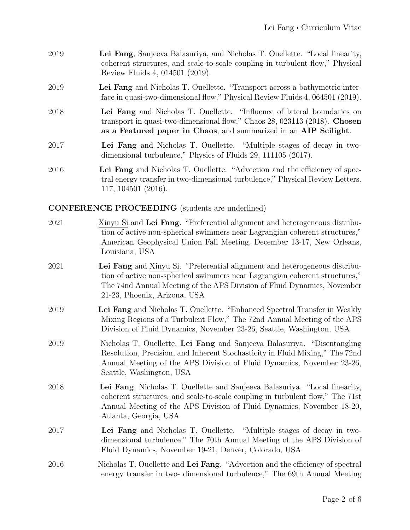- 2019 Lei Fang, Sanjeeva Balasuriya, and Nicholas T. Ouellette. "Local linearity, coherent structures, and scale-to-scale coupling in turbulent flow," Physical Review Fluids 4, 014501 (2019).
- 2019 Lei Fang and Nicholas T. Ouellette. "Transport across a bathymetric interface in quasi-two-dimensional flow," Physical Review Fluids 4, 064501 (2019).
- 2018 Lei Fang and Nicholas T. Ouellette. "Influence of lateral boundaries on transport in quasi-two-dimensional flow," Chaos 28, 023113 (2018). Chosen as a Featured paper in Chaos, and summarized in an AIP Scilight.
- 2017 Lei Fang and Nicholas T. Ouellette. "Multiple stages of decay in twodimensional turbulence," Physics of Fluids 29, 111105 (2017).
- 2016 Lei Fang and Nicholas T. Ouellette. "Advection and the efficiency of spectral energy transfer in two-dimensional turbulence," Physical Review Letters. 117, 104501 (2016).

# CONFERENCE PROCEEDING (students are underlined)

| $2021\,$ | Xinyu Si and Lei Fang. "Preferential alignment and heterogeneous distribu-<br>tion of active non-spherical swimmers near Lagrangian coherent structures,"<br>American Geophysical Union Fall Meeting, December 13-17, New Orleans,<br>Louisiana, USA                 |
|----------|----------------------------------------------------------------------------------------------------------------------------------------------------------------------------------------------------------------------------------------------------------------------|
| 2021     | Lei Fang and Xinyu Si. "Preferential alignment and heterogeneous distribu-<br>tion of active non-spherical swimmers near Lagrangian coherent structures,"<br>The 74nd Annual Meeting of the APS Division of Fluid Dynamics, November<br>21-23, Phoenix, Arizona, USA |
| 2019     | Lei Fang and Nicholas T. Ouellette. "Enhanced Spectral Transfer in Weakly<br>Mixing Regions of a Turbulent Flow," The 72nd Annual Meeting of the APS<br>Division of Fluid Dynamics, November 23-26, Seattle, Washington, USA                                         |
| 2019     | Nicholas T. Ouellette, Lei Fang and Sanjeeva Balasuriya. "Disentangling<br>Resolution, Precision, and Inherent Stochasticity in Fluid Mixing," The 72nd<br>Annual Meeting of the APS Division of Fluid Dynamics, November 23-26,<br>Seattle, Washington, USA         |
| 2018     | Lei Fang, Nicholas T. Ouellette and Sanjeeva Balasuriya. "Local linearity,<br>coherent structures, and scale-to-scale coupling in turbulent flow," The 71st<br>Annual Meeting of the APS Division of Fluid Dynamics, November 18-20,<br>Atlanta, Georgia, USA        |
| 2017     | Lei Fang and Nicholas T. Ouellette. "Multiple stages of decay in two-<br>dimensional turbulence," The 70th Annual Meeting of the APS Division of<br>Fluid Dynamics, November 19-21, Denver, Colorado, USA                                                            |
| 2016     | Nicholas T. Ouellette and Lei Fang. "Advection and the efficiency of spectral<br>energy transfer in two-dimensional turbulence," The 69th Annual Meeting                                                                                                             |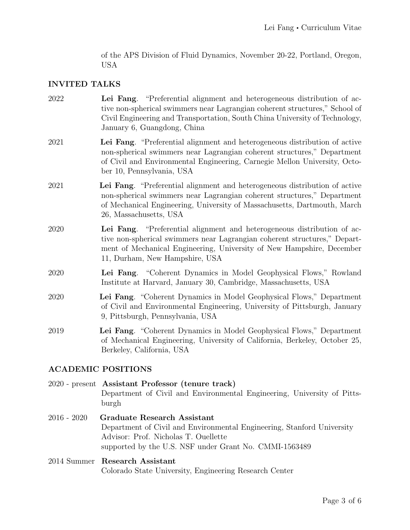of the APS Division of Fluid Dynamics, November 20-22, Portland, Oregon, USA

#### INVITED TALKS

- 2022 Lei Fang. "Preferential alignment and heterogeneous distribution of active non-spherical swimmers near Lagrangian coherent structures," School of Civil Engineering and Transportation, South China University of Technology, January 6, Guangdong, China
- 2021 Lei Fang. "Preferential alignment and heterogeneous distribution of active non-spherical swimmers near Lagrangian coherent structures," Department of Civil and Environmental Engineering, Carnegie Mellon University, October 10, Pennsylvania, USA
- 2021 Lei Fang. "Preferential alignment and heterogeneous distribution of active non-spherical swimmers near Lagrangian coherent structures," Department of Mechanical Engineering, University of Massachusetts, Dartmouth, March 26, Massachusetts, USA
- 2020 Lei Fang. "Preferential alignment and heterogeneous distribution of active non-spherical swimmers near Lagrangian coherent structures," Department of Mechanical Engineering, University of New Hampshire, December 11, Durham, New Hampshire, USA
- 2020 Lei Fang. "Coherent Dynamics in Model Geophysical Flows," Rowland Institute at Harvard, January 30, Cambridge, Massachusetts, USA
- 2020 Lei Fang. "Coherent Dynamics in Model Geophysical Flows," Department of Civil and Environmental Engineering, University of Pittsburgh, January 9, Pittsburgh, Pennsylvania, USA
- 2019 Lei Fang. "Coherent Dynamics in Model Geophysical Flows," Department of Mechanical Engineering, University of California, Berkeley, October 25, Berkeley, California, USA

# ACADEMIC POSITIONS

2020 - present Assistant Professor (tenure track) Department of Civil and Environmental Engineering, University of Pittsburgh

2016 - 2020 Graduate Research Assistant Department of Civil and Environmental Engineering, Stanford University Advisor: Prof. Nicholas T. Ouellette supported by the U.S. NSF under Grant No. CMMI-1563489

#### 2014 Summer Research Assistant Colorado State University, Engineering Research Center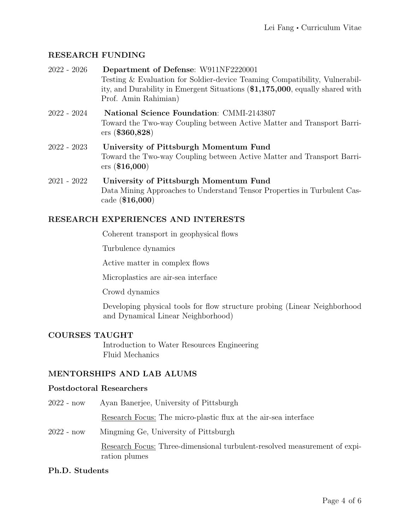# RESEARCH FUNDING

| $2022 - 2026$ | Department of Defense: W911NF2220001<br>Testing & Evaluation for Soldier-device Teaming Compatibility, Vulnerabil-<br>ity, and Durability in Emergent Situations (\$1,175,000, equally shared with<br>Prof. Amin Rahimian) |
|---------------|----------------------------------------------------------------------------------------------------------------------------------------------------------------------------------------------------------------------------|
| $2022 - 2024$ | <b>National Science Foundation: CMMI-2143807</b><br>Toward the Two-way Coupling between Active Matter and Transport Barri-<br>ers ( \$360,828)                                                                             |
| $2022 - 2023$ | University of Pittsburgh Momentum Fund<br>Toward the Two-way Coupling between Active Matter and Transport Barri-<br>$ers (\$16,000)$                                                                                       |
| $2021 - 2022$ | University of Pittsburgh Momentum Fund<br>Data Mining Approaches to Understand Tensor Properties in Turbulent Cas-<br>cade $(\$16,000)$                                                                                    |

# RESEARCH EXPERIENCES AND INTERESTS

Coherent transport in geophysical flows

Turbulence dynamics

Active matter in complex flows

Microplastics are air-sea interface

Crowd dynamics

Developing physical tools for flow structure probing (Linear Neighborhood and Dynamical Linear Neighborhood)

# COURSES TAUGHT

Introduction to Water Resources Engineering Fluid Mechanics

# MENTORSHIPS AND LAB ALUMS

#### Postdoctoral Researchers

2022 - now Ayan Banerjee, University of Pittsburgh Research Focus: The micro-plastic flux at the air-sea interface 2022 - now Mingming Ge, University of Pittsburgh Research Focus: Three-dimensional turbulent-resolved measurement of expiration plumes

#### Ph.D. Students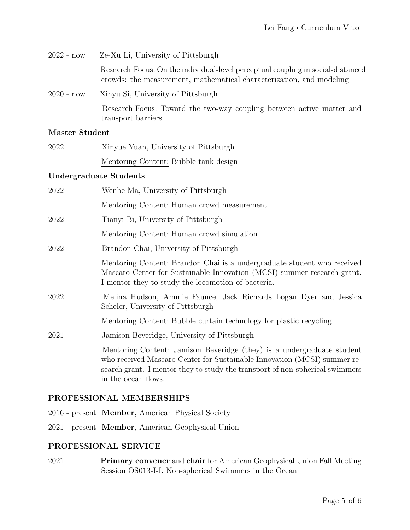| $2022 - now$ | Ze-Xu Li, University of Pittsburgh                                                                                                                      |
|--------------|---------------------------------------------------------------------------------------------------------------------------------------------------------|
|              | Research Focus: On the individual-level perceptual coupling in social-distanced<br>crowds: the measurement, mathematical characterization, and modeling |
| $2020 - now$ | Xinyu Si, University of Pittsburgh                                                                                                                      |
|              | Research Focus: Toward the two-way coupling between active matter and<br>transport barriers                                                             |

#### Master Student

| 2022 | Xinyue Yuan, University of Pittsburgh |
|------|---------------------------------------|
|      | Mentoring Content: Bubble tank design |

# Undergraduate Students

| 2022 | Wenhe Ma, University of Pittsburgh                                                                                                                                                                                                                        |
|------|-----------------------------------------------------------------------------------------------------------------------------------------------------------------------------------------------------------------------------------------------------------|
|      | Mentoring Content: Human crowd measurement                                                                                                                                                                                                                |
| 2022 | Tianyi Bi, University of Pittsburgh                                                                                                                                                                                                                       |
|      | Mentoring Content: Human crowd simulation                                                                                                                                                                                                                 |
| 2022 | Brandon Chai, University of Pittsburgh                                                                                                                                                                                                                    |
|      | Mentoring Content: Brandon Chai is a undergraduate student who received<br>Mascaro Center for Sustainable Innovation (MCSI) summer research grant.<br>I mentor they to study the locomotion of bacteria.                                                  |
| 2022 | Melina Hudson, Ammie Faunce, Jack Richards Logan Dyer and Jessica<br>Scheler, University of Pittsburgh                                                                                                                                                    |
|      | Mentoring Content: Bubble curtain technology for plastic recycling                                                                                                                                                                                        |
| 2021 | Jamison Beveridge, University of Pittsburgh                                                                                                                                                                                                               |
|      | Mentoring Content: Jamison Beveridge (they) is a undergraduate student<br>who received Mascaro Center for Sustainable Innovation (MCSI) summer re-<br>search grant. I mentor they to study the transport of non-spherical swimmers<br>in the ocean flows. |

#### PROFESSIONAL MEMBERSHIPS

- 2016 present Member, American Physical Society
- 2021 present Member, American Geophysical Union

# PROFESSIONAL SERVICE

2021 Primary convener and chair for American Geophysical Union Fall Meeting Session OS013-I-I. Non-spherical Swimmers in the Ocean